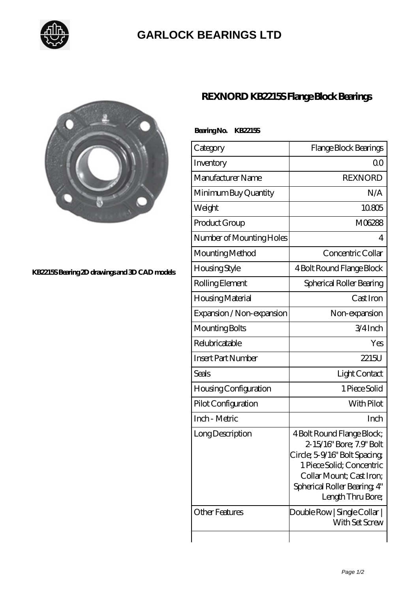

## **[GARLOCK BEARINGS LTD](https://m.letterstopriests.com)**



## **[KB2215S Bearing 2D drawings and 3D CAD models](https://m.letterstopriests.com/pic-188850.html)**

## **[REXNORD KB2215S Flange Block Bearings](https://m.letterstopriests.com/bb-188850-rexnord-kb2215s-flange-block-bearings.html)**

| Bearing No. KB2215S |  |
|---------------------|--|
| Category            |  |

| Category                  | Flange Block Bearings                                                                                                                                                                                 |
|---------------------------|-------------------------------------------------------------------------------------------------------------------------------------------------------------------------------------------------------|
| Inventory                 | QΟ                                                                                                                                                                                                    |
| Manufacturer Name         | <b>REXNORD</b>                                                                                                                                                                                        |
| Minimum Buy Quantity      | N/A                                                                                                                                                                                                   |
| Weight                    | 10805                                                                                                                                                                                                 |
| Product Group             | M06288                                                                                                                                                                                                |
| Number of Mounting Holes  | 4                                                                                                                                                                                                     |
| Mounting Method           | Concentric Collar                                                                                                                                                                                     |
| Housing Style             | 4 Bolt Round Flange Block                                                                                                                                                                             |
| Rolling Element           | Spherical Roller Bearing                                                                                                                                                                              |
| Housing Material          | Cast Iron                                                                                                                                                                                             |
| Expansion / Non-expansion | Non-expansion                                                                                                                                                                                         |
| Mounting Bolts            | 3/4Inch                                                                                                                                                                                               |
| Relubricatable            | Yes                                                                                                                                                                                                   |
| <b>Insert Part Number</b> | 2215U                                                                                                                                                                                                 |
| Seals                     | Light Contact                                                                                                                                                                                         |
| Housing Configuration     | 1 Piece Solid                                                                                                                                                                                         |
| Pilot Configuration       | With Pilot                                                                                                                                                                                            |
| Inch - Metric             | Inch                                                                                                                                                                                                  |
| Long Description          | 4 Bolt Round Flange Block;<br>2-15/16" Bore; 7.9" Bolt<br>Circle; 5-9/16" Bolt Spacing;<br>1 Piece Solid: Concentric<br>Collar Mount; Cast Iron;<br>Spherical Roller Bearing, 4"<br>Length Thru Bore; |
| <b>Other Features</b>     | $\mathsf{Double}\,\mathsf{Row}\, \,\mathsf{Single}\,\mathsf{Collar}\, \,$<br>With Set Screw                                                                                                           |
|                           |                                                                                                                                                                                                       |